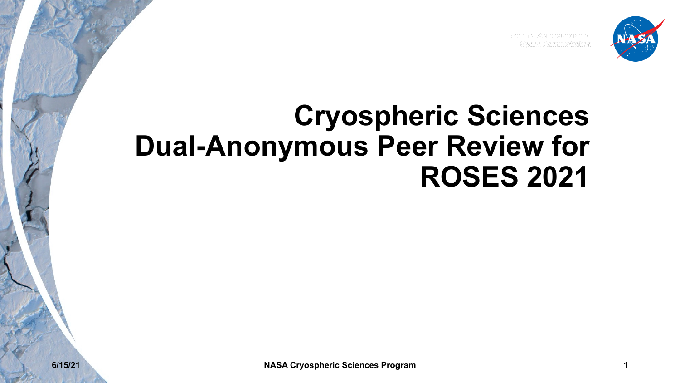

National Aeronautics and Space Administration

### **Cryospheric Sciences Dual-Anonymous Peer Review for ROSES 2021**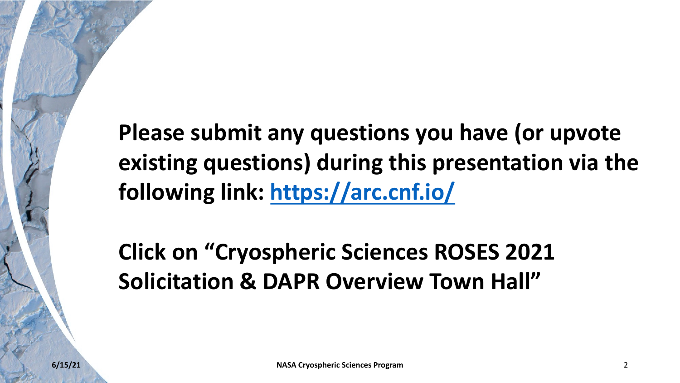**Please submit any questions you existing questions) during this following link: https://arc.cnf.io/**

**Click on "Cryospheric Sciences" Solicitation & DAPR Overview T**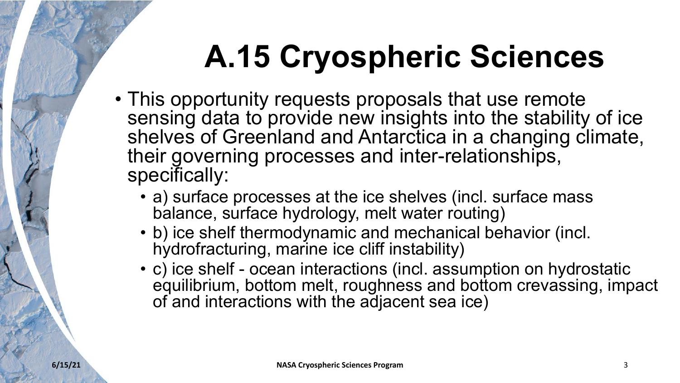# **A.15 Cryospheric Sciences**

- This opportunity requests proposals that use remote sensing data to provide new insights into the stability of ice shelves of Greenland and Antarctica in a changing climate, their governing processes and inter-relationships, specifically:
	- a) surface processes at the ice shelves (incl. surface mass balance, surface hydrology, melt water routing)
	- b) ice shelf thermodynamic and mechanical behavior (incl. hydrofracturing, marine ice cliff instability)
	- c) ice shelf ocean interactions (incl. assumption on hydrostatic equilibrium, bottom melt, roughness and bottom crevassing, impact of and interactions with the adjacent sea ice)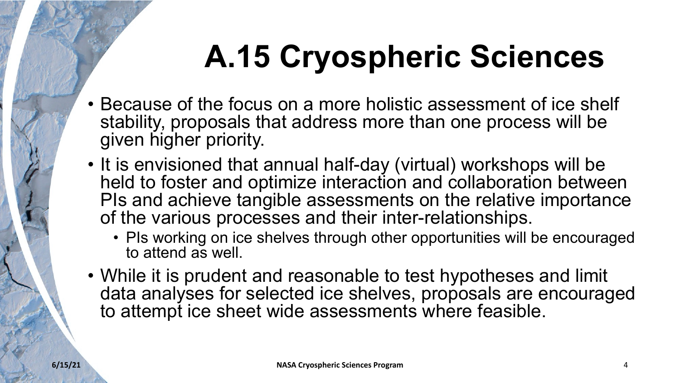# **A.15 Cryospheric Sciences**

- Because of the focus on a more holistic assessment of ice shelf stability, proposals that address more than one process will be given higher priority.
- It is envisioned that annual half-day (virtual) workshops will be held to foster and optimize interaction and collaboration between PIs and achieve tangible assessments on the relative importance of the various processes and their inter-relationships.
	- PIs working on ice shelves through other opportunities will be encouraged to attend as well.
- While it is prudent and reasonable to test hypotheses and limit data analyses for selected ice shelves, proposals are encouraged to attempt ice sheet wide assessments where feasible.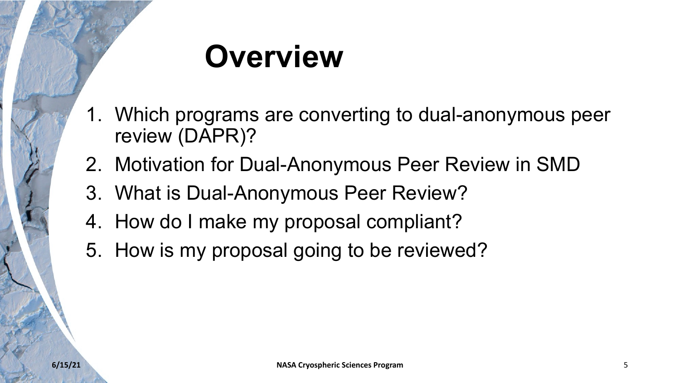# **Overview**

- 1. Which programs are converting to dual-anonymous peer review (DAPR)?
- 2. Motivation for Dual-Anonymous Peer Review in SMD
- 3. What is Dual-Anonymous Peer Review?
- 4. How do I make my proposal compliant?
- 5. How is my proposal going to be reviewed?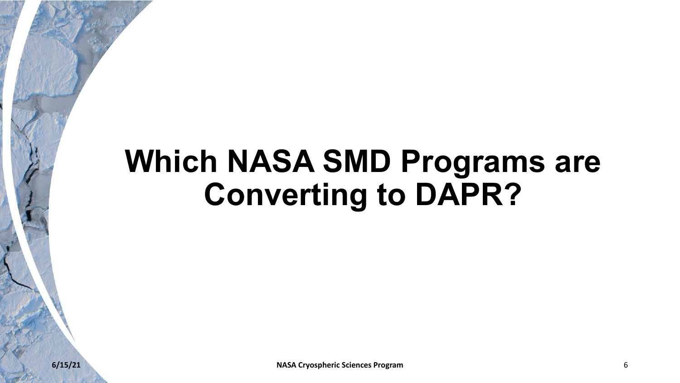## **Which NASA SMD Programs are Converting to DAPR?**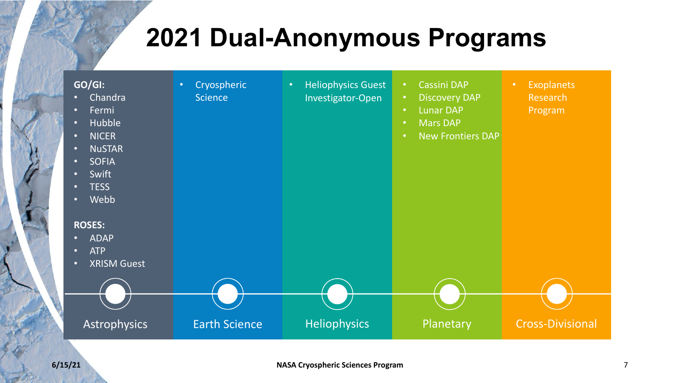#### **2021 Dual-Anonymous Programs**

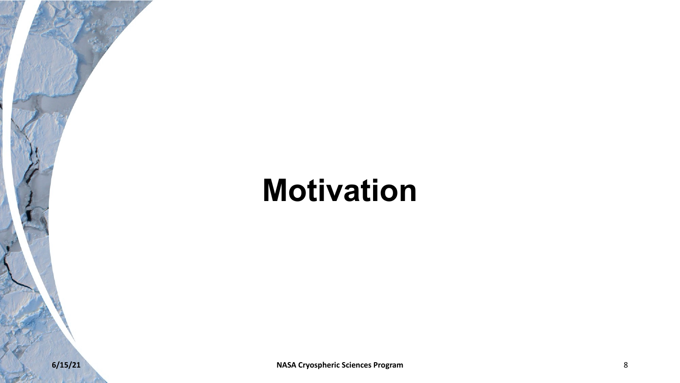## **Motivation**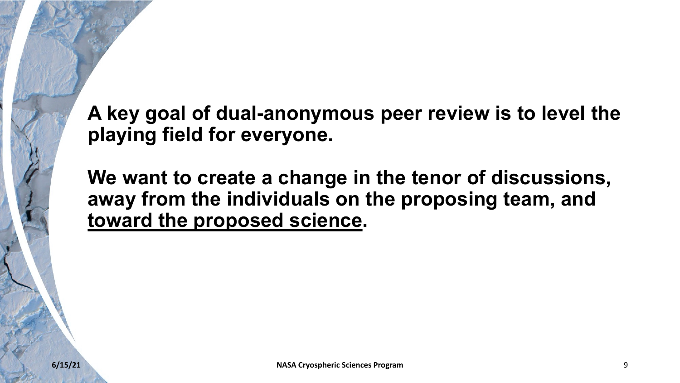**A key goal of dual-anonymous peer review is to level the playing field for everyone.**

**We want to create a change in the tenor of discussions, away from the individuals on the proposing team, and toward the proposed science.**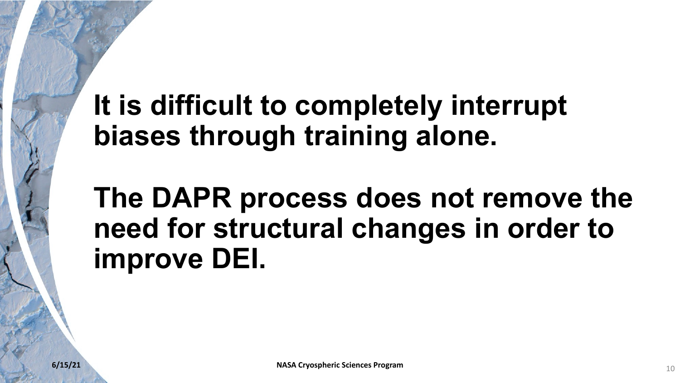### **It is difficult to completely interrupt biases through training alone.**

### **The DAPR process does not remove the need for structural changes in order to improve DEI.**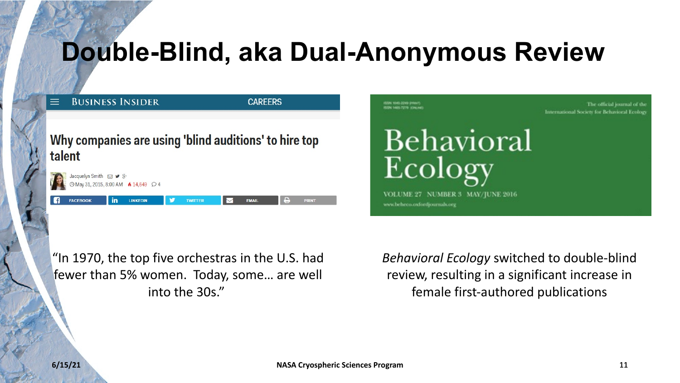#### **Double-Blind, aka Dual-Anonymous Review**



"In 1970, the top five orchestras in the U.S. had fewer than 5% women. Today, some… are well into the 30s."

*Behavioral Ecology* switched to double-blind review, resulting in a significant increase in female first-authored publications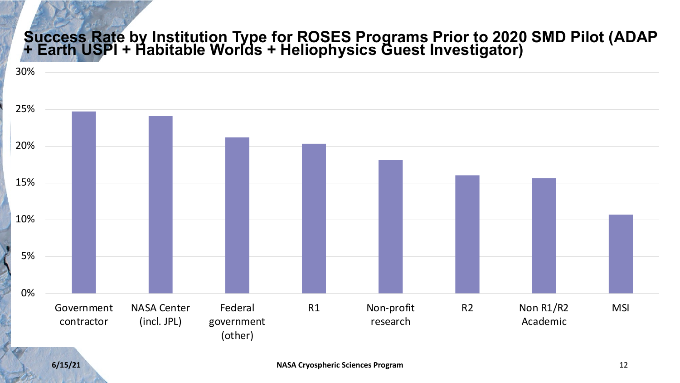#### **Success Rate by Institution Type for ROSES Programs Prior to 2020 SMD Pilot (ADAP + Earth USPI + Habitable Worlds + Heliophysics Guest Investigator)**

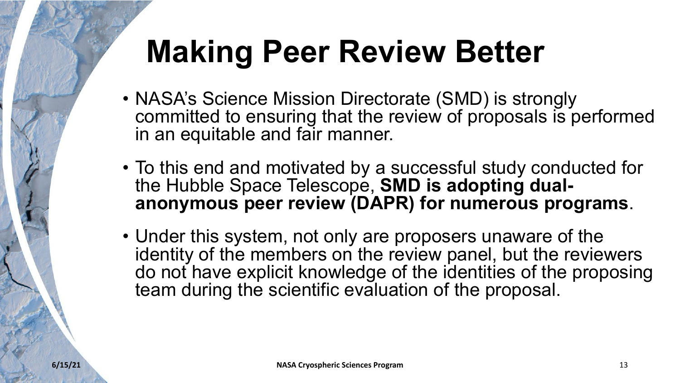# **Making Peer Review Better**

- NASA's Science Mission Directorate (SMD) is strongly committed to ensuring that the review of proposals is performed in an equitable and fair manner.
- To this end and motivated by a successful study conducted for the Hubble Space Telescope, **SMD is adopting dual**anonymous peer review (DAPR) for numerous programs.
- Under this system, not only are proposers unaware of the identity of the members on the review panel, but the reviewers do not have explicit knowledge of the identities of the proposing team during the scientific evaluation of the proposal.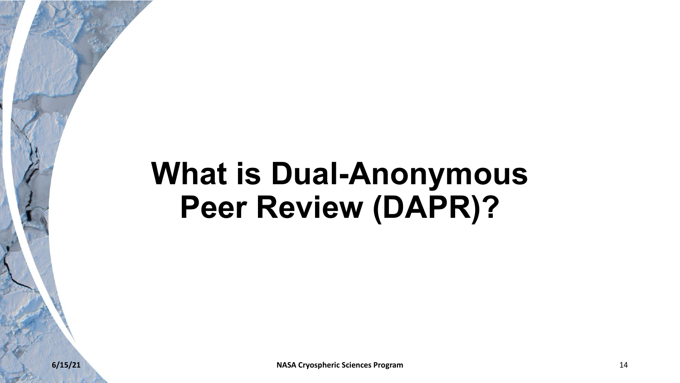## **What is Dual-Anonymous Peer Review (DAPR)?**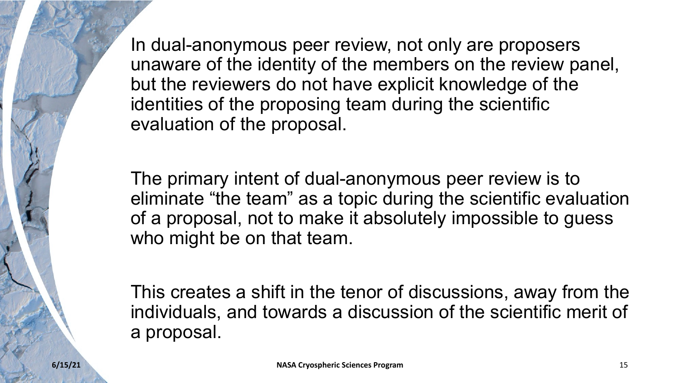In dual-anonymous peer review, not only are proposers unaware of the identity of the members on the review panel, but the reviewers do not have explicit knowledge of the identities of the proposing team during the scientific evaluation of the proposal.

The primary intent of dual-anonymous peer review is to eliminate "the team" as a topic during the scientific evaluation of a proposal, not to make it absolutely impossible to guess who might be on that team.

This creates a shift in the tenor of discussions, away from the individuals, and towards a discussion of the scientific merit of a proposal.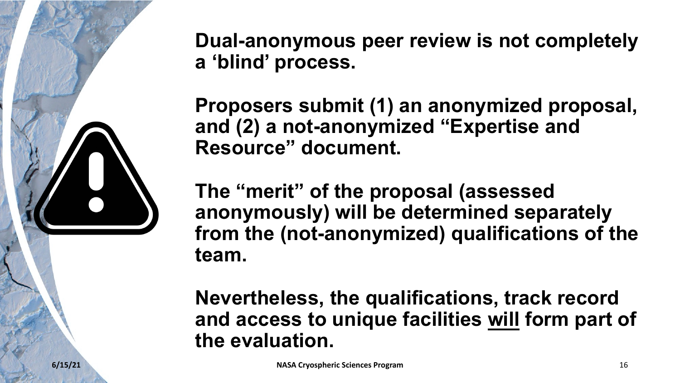

**Dual-anonymous peer review is not completely a 'blind' process.**

**Proposers submit (1) an anonymized proposal, and (2) a not-anonymized "Expertise and Resource" document.**

**The "merit" of the proposal (assessed anonymously) will be determined separately from the (not-anonymized) qualifications of the team.** 

**Nevertheless, the qualifications, track record and access to unique facilities will form part of the evaluation.**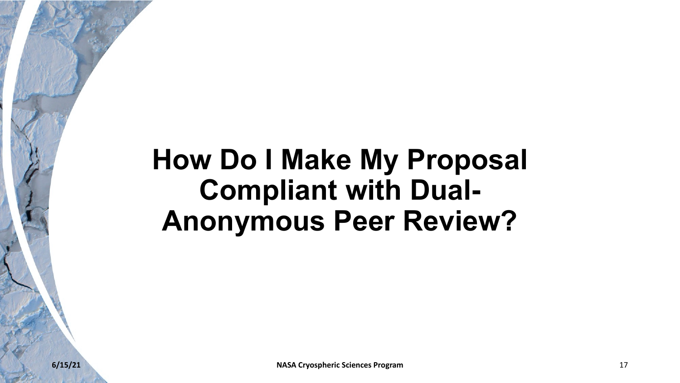#### **How Do I Make My Proposal Compliant with Dual-Anonymous Peer Review?**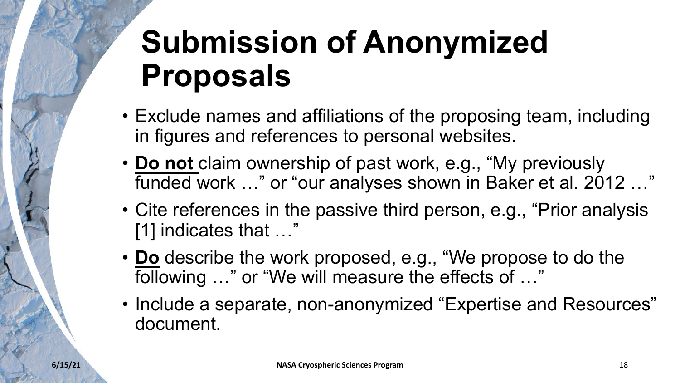# **Submission of Anonymized Proposals**

- Exclude names and affiliations of the proposing team, including in figures and references to personal websites.
- **Do not** claim ownership of past work, e.g., "My previously funded work …" or "our analyses shown in Baker et al. 2012 …"
- Cite references in the passive third person, e.g., "Prior analysis [1] indicates that …"
- **Do** describe the work proposed, e.g., "We propose to do the following …" or "We will measure the effects of …"
- Include a separate, non-anonymized "Expertise and Resources" document.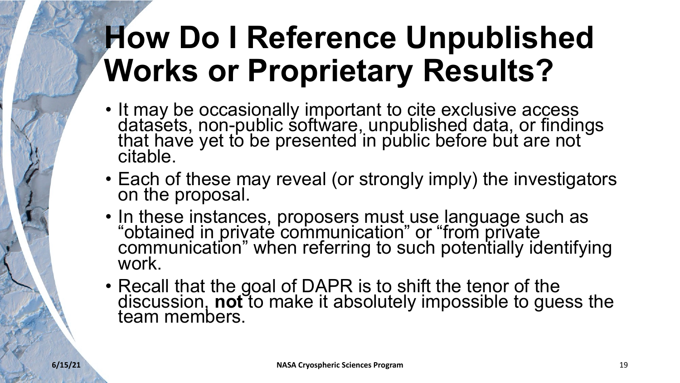# **How Do I Reference Unpublished Works or Proprietary Results?**

- It may be occasionally important to cite exclusive access datasets, non-public software, unpublished data, or findings<br>that have yet to be presented in public before but are not citable.
- Each of these may reveal (or strongly imply) the investigators on the proposal.
- In these instances, proposers must use language such as "obtained in private communication" or "from private communication" when referring to such potentially identifying work.
- Recall that the goal of DAPR is to shift the tenor of the discussion, **not** to make it absolutely impossible to guess the<br>team members.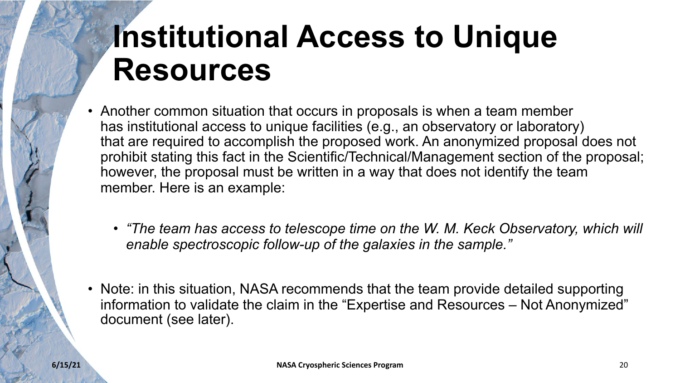# **Institutional Access to Unique Resources**

- Another common situation that occurs in proposals is when a team member has institutional access to unique facilities (e.g., an observatory or laboratory) that are required to accomplish the proposed work. An anonymized proposal does not prohibit stating this fact in the Scientific/Technical/Management section of the proposal; however, the proposal must be written in a way that does not identify the team member. Here is an example:
	- *"The team has access to telescope time on the W. M. Keck Observatory, which will enable spectroscopic follow-up of the galaxies in the sample."*
- Note: in this situation, NASA recommends that the team provide detailed supporting information to validate the claim in the "Expertise and Resources – Not Anonymized" document (see later).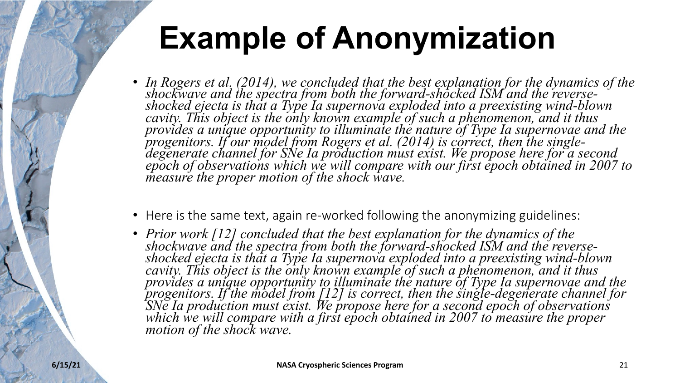# **Example of Anonymization**

- In Rogers et al. (2014), we concluded that the best explanation for the dynamics of the *shockwave and the spectra from both the forward-shocked ISM and the reverse- shocked ejecta is that a Type Ia supernova exploded into a preexisting wind-blown cavity. This object is the only known example of such a phenomenon, and it thus*  provides a unique opportunity to illuminate the nature of Type Ia supernovae and the<br>progenitors. If our model from Rogers et al. (2014) is correct, then the single-<br>degenerate channel for SNe Ia production must exist. We *measure the proper motion of the shock wave.*
- Here is the same text, again re-worked following the anonymizing guidelines:
- Prior work [12] concluded that the best explanation for the dynamics of the *shockwave and the spectra from both the forward-shocked ISM and the reverse- shocked ejecta is that a Type Ia supernova exploded into a preexisting wind-blown cavity. This object is the only known example of such a phenomenon, and it thus*  provides a unique opportunity to illuminate the nature of Type Ia supernovae and the<br>progenitors. If the model from [12] is correct, then the single-degenerate channel for<br>SNe Ia production must exist. We propose here for *motion of the shock wave.*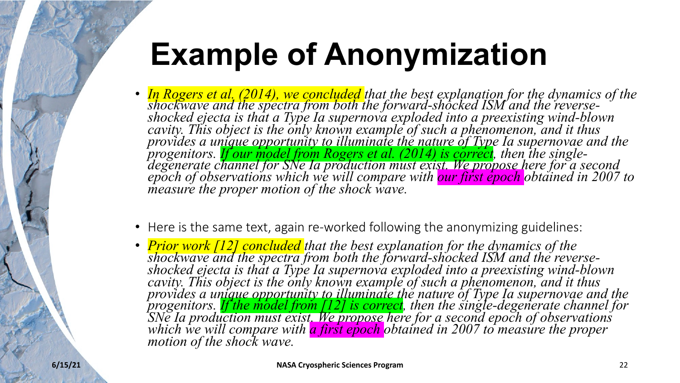# **Example of Anonymization**

- In Rogers et al. (2014), we concluded that the best explanation for the dynamics of the spectra from both the forward-shocked ISM and the reverse-<br>shocked ejecta is that a Type Ia supernova exploded into a preexisting wi *cavity. This object is the only known example of such a phenomenon, and it thus provides a unique opportunity to illuminate the nature of Type Ia supernovae and the*  progenitors. <mark>If our model from Rogers et al. (2014) is correct</mark>, then the single-<br>degenerate channel for SNe Ia production must exist. We propose here for a second<br>epoch of observations which we will compare with <mark>our fir</mark> *measure the proper motion of the shock wave.*
- Here is the same text, again re-worked following the anonymizing guidelines:
- *Prior work* [12] concluded that the best explanation for the dynamics of the<br>shockwave and the spectra from both the forward-shocked ISM and the reverse-<br>shocked ejecta is that a Type Ia supernova exploded into a preexi *cavity. This object is the only known example of such a phenomenon, and it thus*  provides a unique opportunity to illuminate the nature of Type Ia supernovae and the<br>progenitors. <mark>If the model from [12] is correct</mark>, then the single-degenerate channel for<br>SNe Ia production must exist. We propose here fo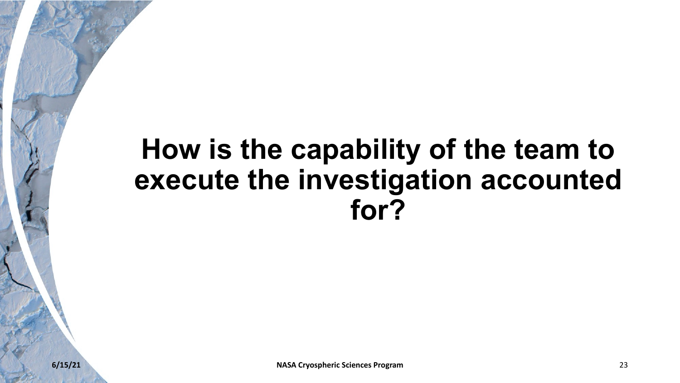#### **How is the capability of the team to execute the investigation accounted for?**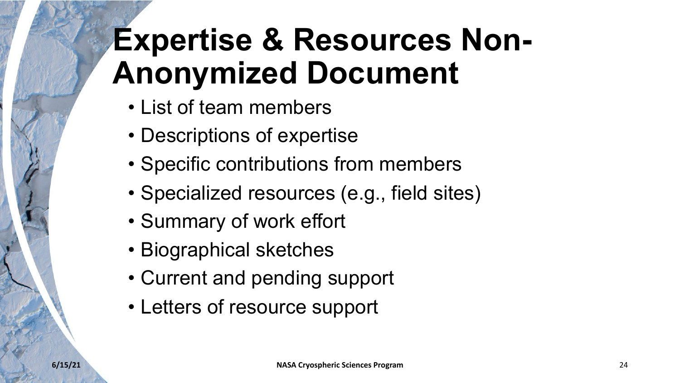# **Expertise & Resources Non-Anonymized Document**

- List of team members
- Descriptions of expertise
- Specific contributions from members
- Specialized resources (e.g., field sites)
- Summary of work effort
- Biographical sketches
- Current and pending support
- Letters of resource support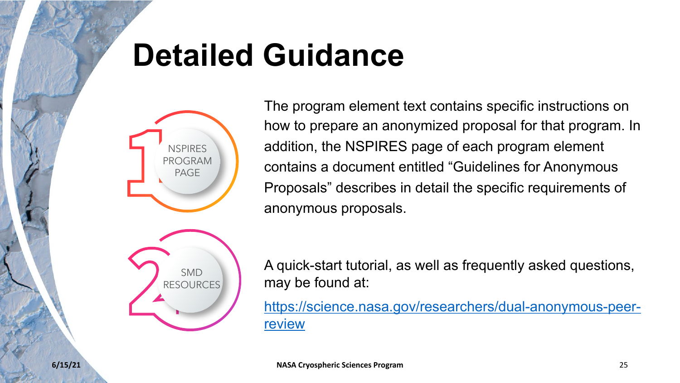# **Detailed Guidance**



The program element text on how to prepare an anonym addition, the NSPIRES pag contains a document entitle Proposals" describes in det anonymous proposals.

A quick-start tutorial, as we may be found at:

https://science.nasa.gov/re review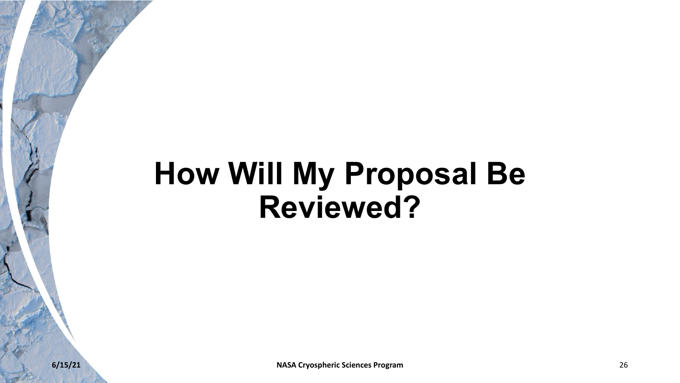## **How Will My Proposal Be Reviewed?**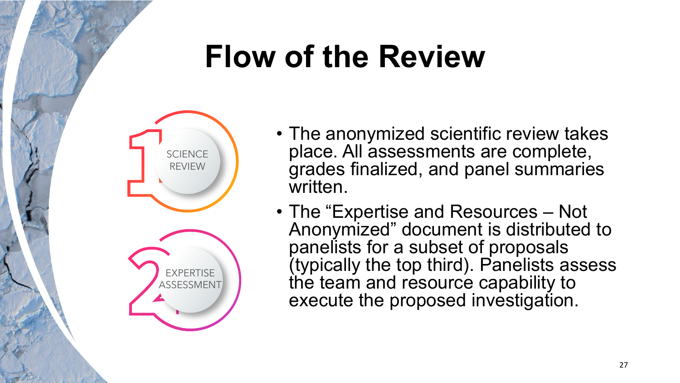# **Flow of the Review**



- The anonymized scientific review takes place. All assessments are complete, grades finalized, and panel summaries written.
- The "Expertise and Resources Not Anonymized" document is distributed to panelists for a subset of proposals (typically the top third). Panelists assess the team and resource capability to execute the proposed investigation.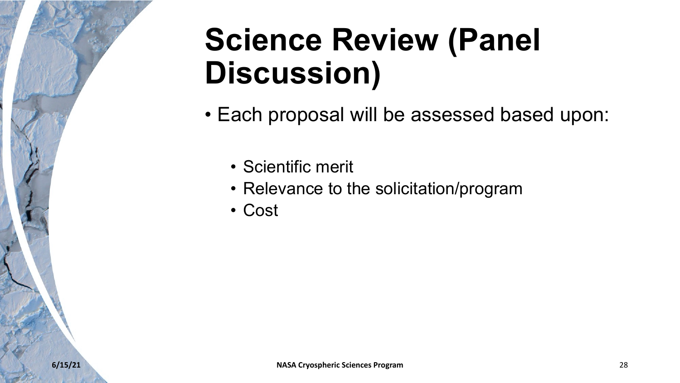# **Science Review (Panel Discussion)**

- Each proposal will be assessed based upon:
	- Scientific merit
	- Relevance to the solicitation/program
	- Cost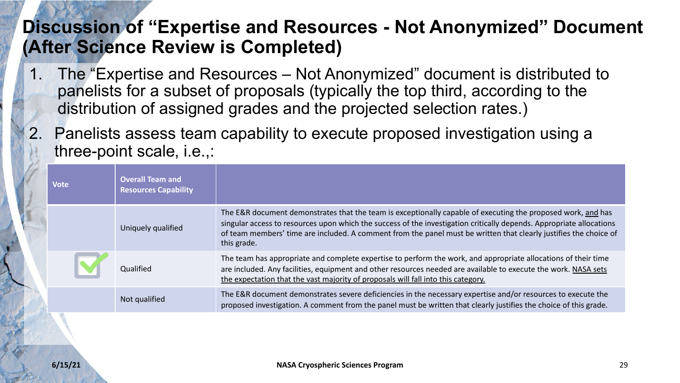#### **Discussion of "Expertise and Resources - Not Anonymized" Document (After Science Review is Completed)**

- 1. The "Expertise and Resources Not Anonymized" document is distributed to panelists for a subset of proposals (typically the top third, according to the distribution of assigned grades and the projected selection rates.)
- 2. Panelists assess team capability to execute proposed investigation using a three-point scale, i.e.,:

| <b>Vote</b> | <b>Overall Team and</b><br><b>Resources Capability</b> |                                                                                                                                                                                                                                                                                                                                                                          |
|-------------|--------------------------------------------------------|--------------------------------------------------------------------------------------------------------------------------------------------------------------------------------------------------------------------------------------------------------------------------------------------------------------------------------------------------------------------------|
|             | Uniquely qualified                                     | The E&R document demonstrates that the team is exceptionally capable of executing the proposed work, and has<br>singular access to resources upon which the success of the investigation critically depends. Appropriate allocations<br>of team members' time are included. A comment from the panel must be written that clearly justifies the choice of<br>this grade. |
|             | Oualified                                              | The team has appropriate and complete expertise to perform the work, and appropriate allocations of their time<br>are included. Any facilities, equipment and other resources needed are available to execute the work. NASA sets<br>the expectation that the vast majority of proposals will fall into this category.                                                   |
|             | Not qualified                                          | The E&R document demonstrates severe deficiencies in the necessary expertise and/or resources to execute the<br>proposed investigation. A comment from the panel must be written that clearly justifies the choice of this grade.                                                                                                                                        |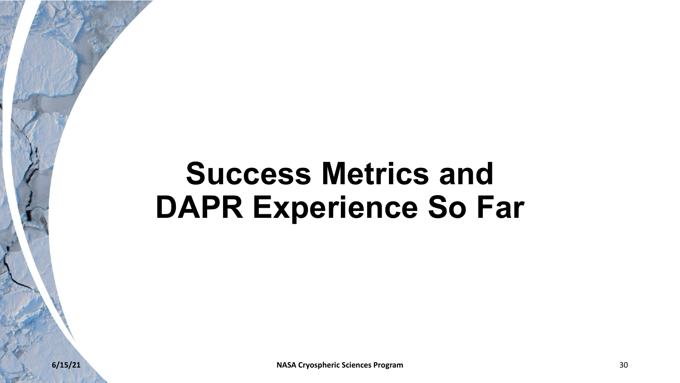## **Success Metrics and DAPR Experience So Far**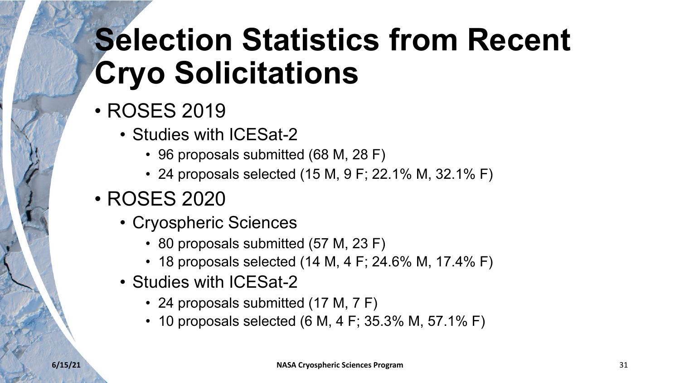# **Selection Statistics from Recent Cryo Solicitations**

- ROSES 2019
	- Studies with ICESat-2
		- 96 proposals submitted (68 M, 28 F)
		- 24 proposals selected (15 M, 9 F; 22.1% M, 32.1% F)
- ROSES 2020
	- Cryospheric Sciences
		- 80 proposals submitted (57 M, 23 F)
		- 18 proposals selected (14 M, 4 F; 24.6% M, 17.4% F)
	- Studies with ICESat-2
		- 24 proposals submitted (17 M, 7 F)
		- 10 proposals selected (6 M, 4 F; 35.3% M, 57.1% F)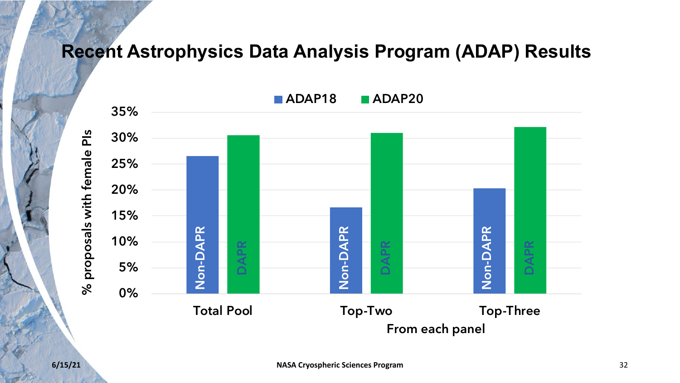#### **Recent Astrophysics Data Analysis Program (ADAP) Results**

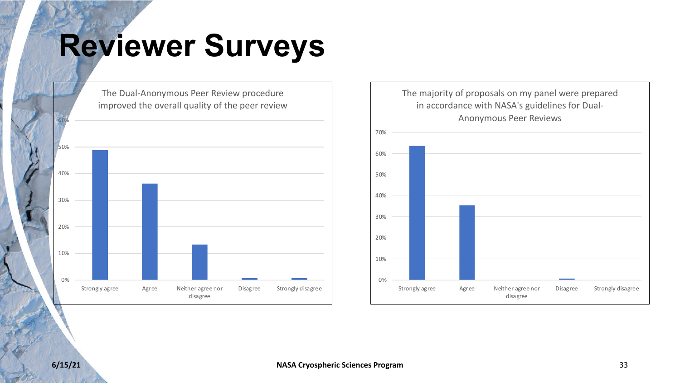# **Reviewer Surveys**



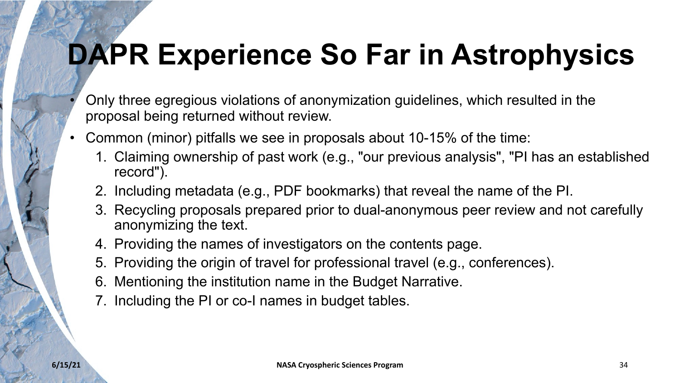# **DAPR Experience So Far in Astrophysics**

- Only three egregious violations of anonymization guidelines, which resulted in the proposal being returned without review.
- Common (minor) pitfalls we see in proposals about 10-15% of the time:
	- 1. Claiming ownership of past work (e.g., "our previous analysis", "PI has an established record").
	- 2. Including metadata (e.g., PDF bookmarks) that reveal the name of the PI.
	- 3. Recycling proposals prepared prior to dual-anonymous peer review and not carefully anonymizing the text.
	- 4. Providing the names of investigators on the contents page.
	- 5. Providing the origin of travel for professional travel (e.g., conferences).
	- 6. Mentioning the institution name in the Budget Narrative.
	- 7. Including the PI or co-I names in budget tables.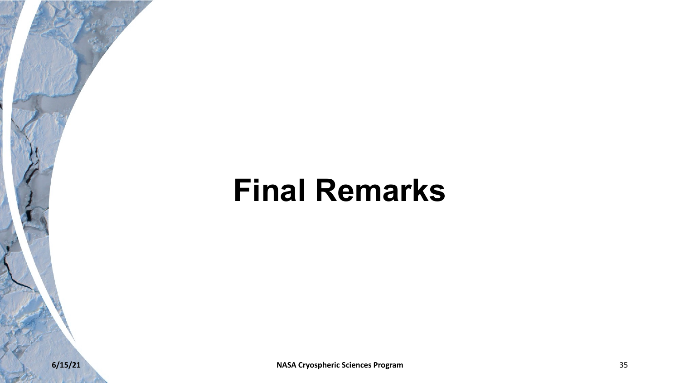### **Final Remarks**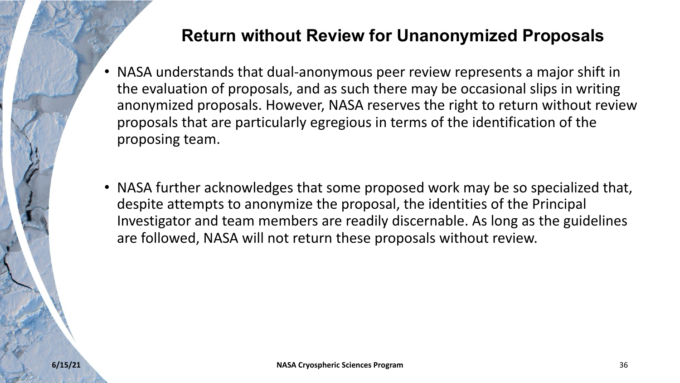#### **Return without Review for Unanonymized Proposals**

- NASA understands that dual-anonymous peer review represents a major shift in the evaluation of proposals, and as such there may be occasional slips in writing anonymized proposals. However, NASA reserves the right to return without review proposals that are particularly egregious in terms of the identification of the proposing team.
- NASA further acknowledges that some proposed work may be so specialized that, despite attempts to anonymize the proposal, the identities of the Principal Investigator and team members are readily discernable. As long as the guidelines are followed, NASA will not return these proposals without review.